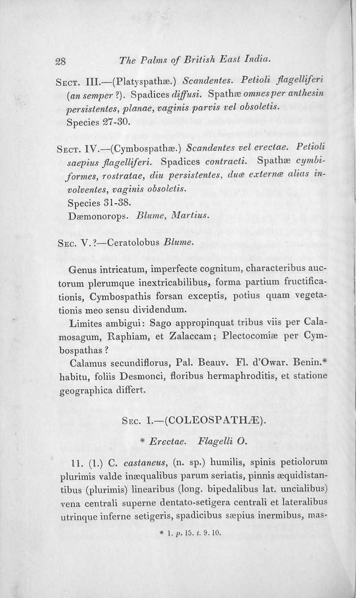## 28 *Tile Palms of British East India.*

SECT. III.-(Platyspathæ.) *Scandentes. Petioli flagelliferi (an semper ?).* Spadices *diffusi.* Spathæ *omnes per anthesin*  $p$ ersistentes,  $p$ lanae, *vaginis*  $p$ arvis *vel obsoletis.* Species 27-30.

SECT. IV.-(Cymbospathæ.) Scandentes vel erectae. Petioli  $saepius\ flagelliliferi.$  Spadices *contracti*. Spathæ *cymbiformes, rostratae, diu persistentes, duœ externœ alias involvellles, vaginis ohso/etis.* Species 31-38. Dæmonorops. Blume, Martius.

SEC. V. ?-Ceratolobus *Blume*.

Genus intricatum, imperfecte cognitum, characteribus auctorum plerumque inextricabilibus, forma partium fructificationis, Cymbospathis forsan exceptis, potius quam vegetationis meo sensu dividendum.

Limites ambigui: Sago appropinquat tribus viis per Cala. mosagum, Raphiam, et Zalaccam; Plectocomiæ per Cymbospathas?

Calamus secundiflorus, Pal. Beauv. FI. d'Owar. Benin.• habitu, foliis Desmonci, floribus hermaphroditis, et statione geographica differt.

#### SEC. I.-(COLEOSPATHÆ).

*• Brcctae. Flagelli* O.

11. (1.) C. *castaneus*, (n. sp.) humilis, spinis petiolorum plurimis valde inæqualibus parum seriatis, pinnis æquidistantibus (plurimis) linearibus (long. bipedalibus lat. uncialibus) vena centrali superne dentato-setigera centrali et lateralibus utrinque inferne setigeris, spadicibus sæpius inermibus, mas-

 $*$  1. p. 15. t. 9. 10.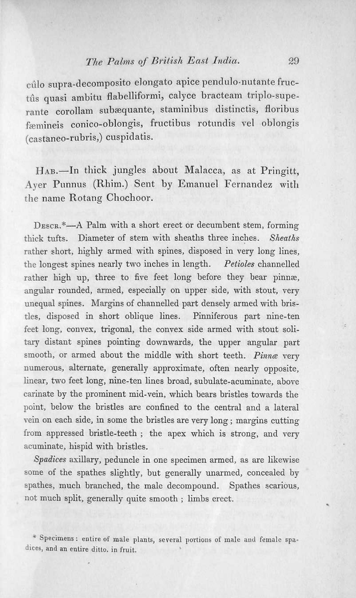### *The Palms of British East India.* 29

cúlo supra-decomposito elongato apice pendulo-nutante fructûs quasi ambitu flabelliformi, calyce bracteam triplo-superante corollam subæquante, staminibus distinctis, floribus fæmineis conico-oblongis, fructibus rotundis vel oblongis (castaneo~rubris,) cuspidatis.

HAB.-In thick jungles about Malacca, as at Pringitt, Ayer Punnus (Rhim.) Sent by Emanuel Fernandez with the name Rotang Chochoor.

DESCR.\*-A Palm with a short erect or decumbent stem, forming thick tufts. Diameter of stem with sheaths three inches. *Sheaths* rather short, highly armed with spines, disposed in very long lines, the longest spines nearly two inches in length. *Petioles* channelled rather high up, three to five feet long before they bear pinnæ, angular rounded, armed, especially on upper side, with stout, very unequal spines. Margins of channelled part densely armed with bristles, disposed in short oblique lines. Pinniferous part nine-ten feet long, convex, trigonal, the convex side armed with stout soli. tary distant spines pointing downwards, the upper angular part smooth, or armed about the middle with short teeth. *Pinnæ* very numerous, alternate, generally approximate, often nearly opposite, linear, two feet long, nine-ten lines broad, subulate.acuminate, above carinate by the prominent mid· vein, which bears bristles towards the point, below the bristles are confined to the central and a lateral vein on each side, in some the bristles are very long; margins cutting from appressed bristle-teeth; the apex which is strong, and very acuminate, hispid with bristles.

*Spadices* axillary, peduncle in one specimen armed, as are likewise some of the spathes slightly, but generally unarmed, concealed by spathes, much branched, the male decompound. Spathes scarious, not much split, generally quite smooth; limbs erect.

\* Specimens: entire of male plants, several portions of male and female spadices, and an entire ditto. in fruit.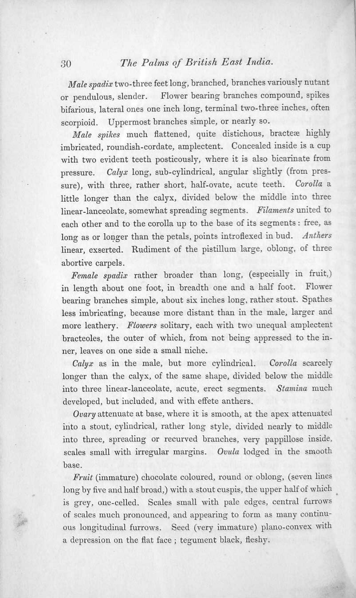# 30 *TIle Palms of Britls!1 East india.*

Male spadix two-three feet long, branched, branches variously nutant or pendulous. slender. Flower bearing branches compound. spikes bifarious, lateral ones one inch long, terminal two-three inches. often scorpioid. Uppermost branches simple, or nearly so.

*Male spikes* much flattened, quite distichous, bracteæ highly imbricated, roundish-cordate, nmplectent. Concealed inside is a cup with two evident teeth posticously, where it is also bicarinate from pressure. Calyx long, sub-cylindrical, angular slightly (from pressure). with three. rather short. half-ovate. acute teeth. *Corolla* a little longer than the calyx, divided below the middle into three linear-lanceolate, somewhat spreading segments. Filaments united to each other and to the corolla up to the base of its segments: free, as long as or longer than the petals, points introflexed in bud. Anthers linear, exserted. Rudiment of the pistillum large, oblong, of three abortive carpels.

*Female spadjz* rather broader than long. (especially in fruit,) in length about one foot. in breadth one and a half foot. Flower bearing branches simple, about six inches long, rather stout. Spathes less imbricating. because more distant than in the male, larger and more leathery. *Flowers* solitary, each with two unequal amplectent bracteoles. the outer of which. from not being appressed to the inner. leaves on one side a small niche.

*Calyx* as in the male, but more cylindrical. *Corolla* scarcely longer than the calyx, of the same shape, divided below the middle into three linenr-Iauceolate. acute, erect segments. *Stamina* much developed, but included, and with effete anthers.

*Ovary* attenuate at base, where it is smooth, at the apex attenuated into a stout. cylindrical. rather long style, divided nearly to middle into three. spreading or rccurved branches, very pappillose inside. scales small with irregular margins. *Ovula* lodged in the smooth base.

*Fruit* (immature) chocolate coloured, round or oblong, (seven lines long by five and half broad,) with a stout cuspis, the upper half of which is grey, one-celled. Scales small with pale edges, central furrows of scales much pronounced, and appearing to form as many continuous longitudinal furrows. Seed (very immature) plano-convex with a depression on the flat face; tegument black, fleshy.